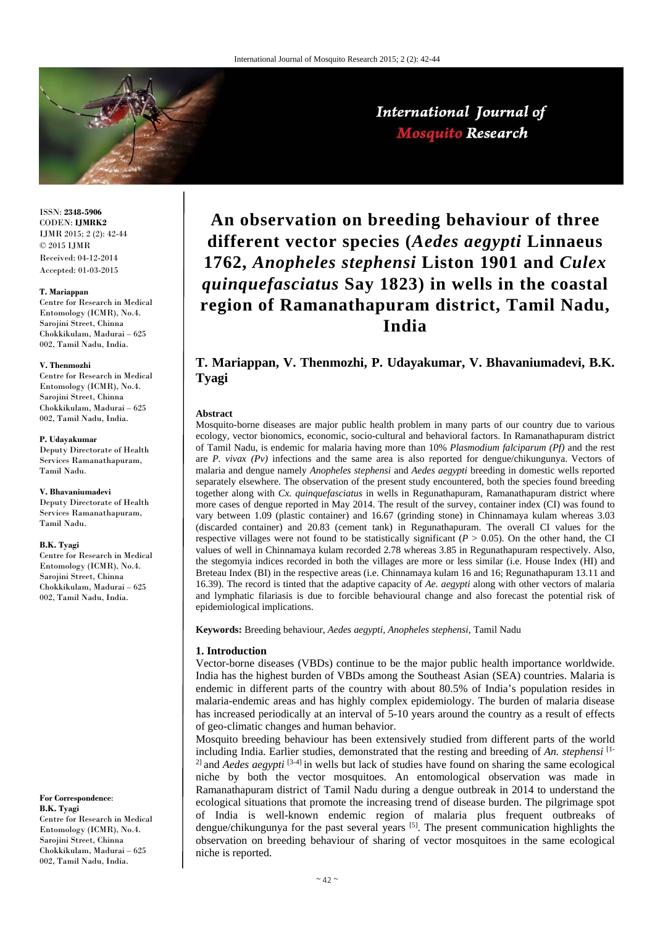

# International Journal of **Mosquito Research**

ISSN: **2348-5906** CODEN: **IJMRK2** IJMR 2015; 2 (2): 42-44 © 2015 IJMR Received: 04-12-2014 Accepted: 01-03-2015

### **T. Mariappan**

Centre for Research in Medical Entomology (ICMR), No.4. Sarojini Street, Chinna Chokkikulam, Madurai – 625 002, Tamil Nadu, India.

#### **V. Thenmozhi**

Centre for Research in Medical Entomology (ICMR), No.4. Sarojini Street, Chinna Chokkikulam, Madurai – 625 002, Tamil Nadu, India.

#### **P. Udayakumar**

Deputy Directorate of Health Services Ramanathapuram, Tamil Nadu.

#### **V. Bhavaniumadevi**

Deputy Directorate of Health Services Ramanathapuram, Tamil Nadu.

#### **B.K. Tyagi**

Centre for Research in Medical Entomology (ICMR), No.4. Sarojini Street, Chinna Chokkikulam, Madurai – 625 002, Tamil Nadu, India.

**For Correspondence**: **B.K. Tyagi** Centre for Research in Medical Entomology (ICMR), No.4. Sarojini Street, Chinna Chokkikulam, Madurai – 625 002, Tamil Nadu, India.

# **An observation on breeding behaviour of three different vector species (***Aedes aegypti* **Linnaeus 1762,** *Anopheles stephensi* **Liston 1901 and** *Culex quinquefasciatus* **Say 1823) in wells in the coastal region of Ramanathapuram district, Tamil Nadu, India**

**T. Mariappan, V. Thenmozhi, P. Udayakumar, V. Bhavaniumadevi, B.K. Tyagi**

### **Abstract**

Mosquito-borne diseases are major public health problem in many parts of our country due to various ecology, vector bionomics, economic, socio-cultural and behavioral factors. In Ramanathapuram district of Tamil Nadu, is endemic for malaria having more than 10% *Plasmodium falciparum (Pf)* and the rest are *P. vivax (Pv)* infections and the same area is also reported for dengue/chikungunya. Vectors of malaria and dengue namely *Anopheles stephensi* and *Aedes aegypti* breeding in domestic wells reported separately elsewhere. The observation of the present study encountered, both the species found breeding together along with *Cx. quinquefasciatus* in wells in Regunathapuram, Ramanathapuram district where more cases of dengue reported in May 2014. The result of the survey, container index (CI) was found to vary between 1.09 (plastic container) and 16.67 (grinding stone) in Chinnamaya kulam whereas 3.03 (discarded container) and 20.83 (cement tank) in Regunathapuram. The overall CI values for the respective villages were not found to be statistically significant  $(P > 0.05)$ . On the other hand, the CI values of well in Chinnamaya kulam recorded 2.78 whereas 3.85 in Regunathapuram respectively. Also, the stegomyia indices recorded in both the villages are more or less similar (i.e. House Index (HI) and Breteau Index (BI) in the respective areas (i.e. Chinnamaya kulam 16 and 16; Regunathapuram 13.11 and 16.39). The record is tinted that the adaptive capacity of *Ae. aegypti* along with other vectors of malaria and lymphatic filariasis is due to forcible behavioural change and also forecast the potential risk of epidemiological implications.

**Keywords:** Breeding behaviour, *Aedes aegypti, Anopheles stephensi,* Tamil Nadu

## **1. Introduction**

Vector-borne diseases (VBDs) continue to be the major public health importance worldwide. India has the highest burden of VBDs among the Southeast Asian (SEA) countries. Malaria is endemic in different parts of the country with about 80.5% of India's population resides in malaria-endemic areas and has highly complex epidemiology. The burden of malaria disease has increased periodically at an interval of 5-10 years around the country as a result of effects of geo-climatic changes and human behavior.

Mosquito breeding behaviour has been extensively studied from different parts of the world including India. Earlier studies, demonstrated that the resting and breeding of *An. stephensi* [1- <sup>2]</sup> and *Aedes aegypti* <sup>[3-4]</sup> in wells but lack of studies have found on sharing the same ecological niche by both the vector mosquitoes. An entomological observation was made in Ramanathapuram district of Tamil Nadu during a dengue outbreak in 2014 to understand the ecological situations that promote the increasing trend of disease burden. The pilgrimage spot of India is well-known endemic region of malaria plus frequent outbreaks of dengue/chikungunya for the past several years [5]. The present communication highlights the observation on breeding behaviour of sharing of vector mosquitoes in the same ecological niche is reported.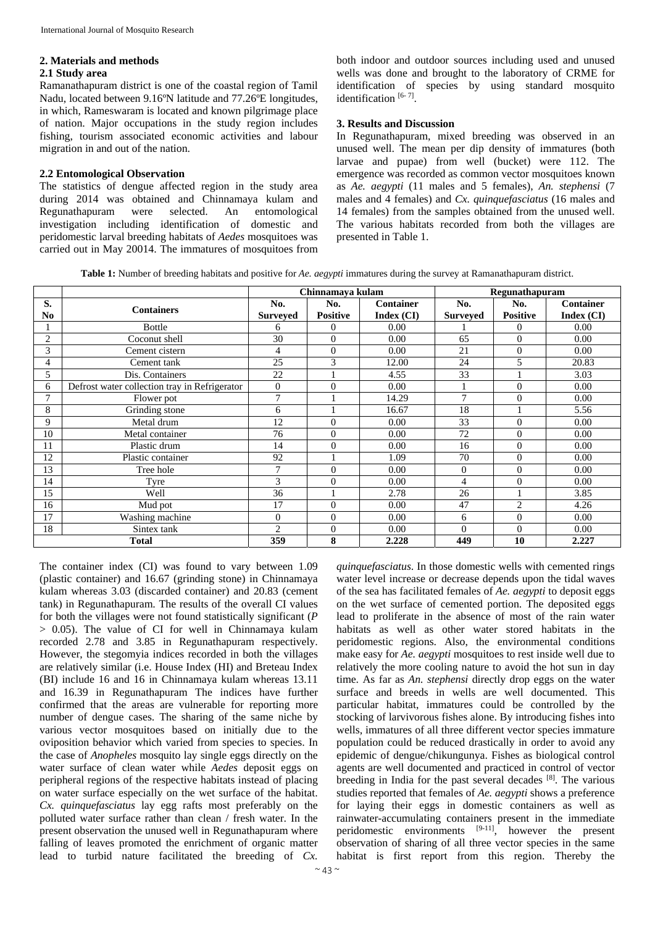## **2. Materials and methods**

## **2.1 Study area**

Ramanathapuram district is one of the coastal region of Tamil Nadu, located between 9.16ºN latitude and 77.26ºE longitudes, in which, Rameswaram is located and known pilgrimage place of nation. Major occupations in the study region includes fishing, tourism associated economic activities and labour migration in and out of the nation.

## **2.2 Entomological Observation**

The statistics of dengue affected region in the study area during 2014 was obtained and Chinnamaya kulam and<br>Regunathapuram were selected. An entomological Regunathapuram were selected. An entomological investigation including identification of domestic and peridomestic larval breeding habitats of *Aedes* mosquitoes was carried out in May 20014. The immatures of mosquitoes from both indoor and outdoor sources including used and unused wells was done and brought to the laboratory of CRME for identification of species by using standard mosquito identification [6-7].

## **3. Results and Discussion**

In Regunathapuram, mixed breeding was observed in an unused well. The mean per dip density of immatures (both larvae and pupae) from well (bucket) were 112. The emergence was recorded as common vector mosquitoes known as *Ae. aegypti* (11 males and 5 females), *An. stephensi* (7 males and 4 females) and *Cx. quinquefasciatus* (16 males and 14 females) from the samples obtained from the unused well. The various habitats recorded from both the villages are presented in Table 1.

**Table 1:** Number of breeding habitats and positive for *Ae. aegypti* immatures during the survey at Ramanathapuram district.

|                |                                               | Chinnamaya kulam |                 |                  | Regunathapuram  |                 |                  |
|----------------|-----------------------------------------------|------------------|-----------------|------------------|-----------------|-----------------|------------------|
| S.             | <b>Containers</b>                             | No.              | No.             | <b>Container</b> | No.             | No.             | <b>Container</b> |
| N <sub>0</sub> |                                               | <b>Surveyed</b>  | <b>Positive</b> | Index (CI)       | <b>Surveyed</b> | <b>Positive</b> | Index (CI)       |
|                | Bottle                                        | 6                | 0               | 0.00             |                 | $\Omega$        | 0.00             |
| $\overline{2}$ | Coconut shell                                 | 30               | $\overline{0}$  | 0.00             | 65              | $\mathbf{0}$    | 0.00             |
| 3              | Cement cistern                                | $\overline{4}$   | $\mathbf{0}$    | 0.00             | 21              | $\theta$        | 0.00             |
| 4              | Cement tank                                   | 25               | 3               | 12.00            | 24              | 5               | 20.83            |
| 5              | Dis. Containers                               | 22               |                 | 4.55             | 33              |                 | 3.03             |
| 6              | Defrost water collection tray in Refrigerator | $\overline{0}$   | $\overline{0}$  | 0.00             |                 | $\overline{0}$  | 0.00             |
| 7              | Flower pot                                    | 7                |                 | 14.29            | $\tau$          | $\Omega$        | 0.00             |
| 8              | Grinding stone                                | 6                |                 | 16.67            | 18              |                 | 5.56             |
| 9              | Metal drum                                    | 12               | 0               | 0.00             | 33              | $\theta$        | 0.00             |
| 10             | Metal container                               | 76               | $\overline{0}$  | 0.00             | 72              | $\Omega$        | 0.00             |
| 11             | Plastic drum                                  | 14               | $\overline{0}$  | 0.00             | 16              | $\Omega$        | 0.00             |
| 12             | Plastic container                             | 92               |                 | 1.09             | 70              | $\theta$        | 0.00             |
| 13             | Tree hole                                     | 7                | $\overline{0}$  | 0.00             | $\Omega$        | $\Omega$        | 0.00             |
| 14             | Tyre                                          | 3                | $\overline{0}$  | 0.00             | $\overline{4}$  | $\Omega$        | 0.00             |
| 15             | Well                                          | 36               |                 | 2.78             | 26              |                 | 3.85             |
| 16             | Mud pot                                       | 17               | $\theta$        | 0.00             | 47              | $\overline{2}$  | 4.26             |
| 17             | Washing machine                               | $\Omega$         | $\overline{0}$  | 0.00             | 6               | $\Omega$        | 0.00             |
| 18             | Sintex tank                                   | $\overline{c}$   | $\overline{0}$  | 0.00             | $\Omega$        | $\Omega$        | 0.00             |
| <b>Total</b>   |                                               | 359              | 8               | 2.228            | 449             | 10              | 2.227            |

The container index (CI) was found to vary between 1.09 (plastic container) and 16.67 (grinding stone) in Chinnamaya kulam whereas 3.03 (discarded container) and 20.83 (cement tank) in Regunathapuram. The results of the overall CI values for both the villages were not found statistically significant (*P*  > 0.05). The value of CI for well in Chinnamaya kulam recorded 2.78 and 3.85 in Regunathapuram respectively. However, the stegomyia indices recorded in both the villages are relatively similar (i.e. House Index (HI) and Breteau Index (BI) include 16 and 16 in Chinnamaya kulam whereas 13.11 and 16.39 in Regunathapuram The indices have further confirmed that the areas are vulnerable for reporting more number of dengue cases. The sharing of the same niche by various vector mosquitoes based on initially due to the oviposition behavior which varied from species to species. In the case of *Anopheles* mosquito lay single eggs directly on the water surface of clean water while *Aedes* deposit eggs on peripheral regions of the respective habitats instead of placing on water surface especially on the wet surface of the habitat. *Cx. quinquefasciatus* lay egg rafts most preferably on the polluted water surface rather than clean / fresh water. In the present observation the unused well in Regunathapuram where falling of leaves promoted the enrichment of organic matter lead to turbid nature facilitated the breeding of *Cx.* 

*quinquefasciatus*. In those domestic wells with cemented rings water level increase or decrease depends upon the tidal waves of the sea has facilitated females of *Ae. aegypti* to deposit eggs on the wet surface of cemented portion. The deposited eggs lead to proliferate in the absence of most of the rain water habitats as well as other water stored habitats in the peridomestic regions. Also, the environmental conditions make easy for *Ae. aegypti* mosquitoes to rest inside well due to relatively the more cooling nature to avoid the hot sun in day time. As far as *An. stephensi* directly drop eggs on the water surface and breeds in wells are well documented. This particular habitat, immatures could be controlled by the stocking of larvivorous fishes alone. By introducing fishes into wells, immatures of all three different vector species immature population could be reduced drastically in order to avoid any epidemic of dengue/chikungunya. Fishes as biological control agents are well documented and practiced in control of vector breeding in India for the past several decades  $[8]$ . The various studies reported that females of *Ae. aegypti* shows a preference for laying their eggs in domestic containers as well as rainwater-accumulating containers present in the immediate peridomestic environments  $[9-11]$ , however the present observation of sharing of all three vector species in the same habitat is first report from this region. Thereby the